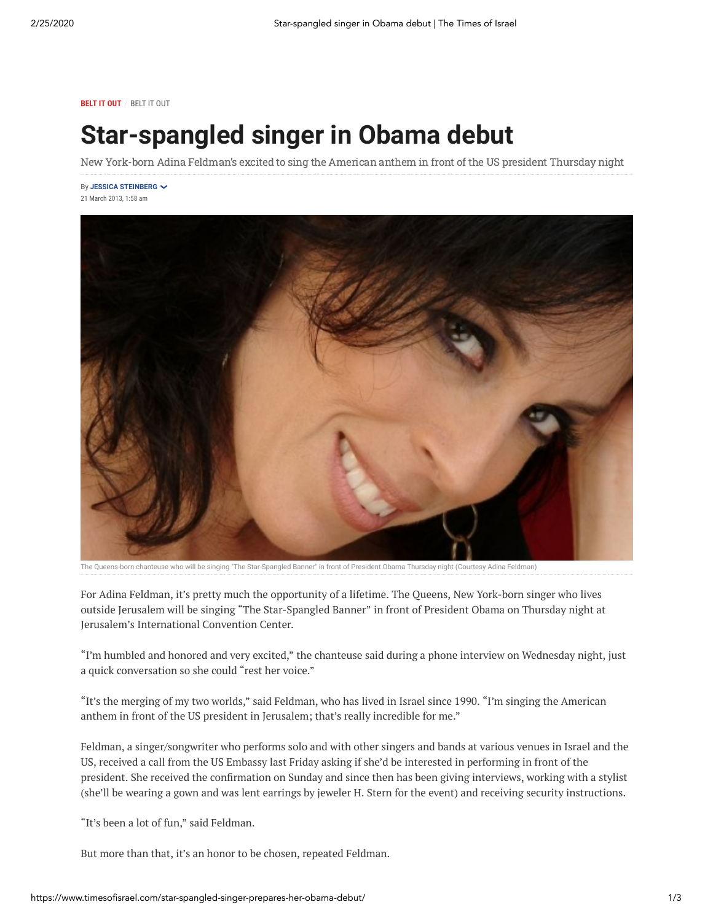**BELT IT OUT** / BELT IT OUT

## **Star-spangled singer in Obama debut**

New York-born Adina Feldman's excited to sing the American anthem in front of the US president Thursday night

By **[JESSICA STEINBERG](https://www.timesofisrael.com/writers/jessica-steinberg/)** 21 March 2013, 1:58 am



The Queens-born chanteuse who will be singing "The Star-Spangled Banner" in front of President Obama Thursday night (Courtesy Adina Feldman)

For Adina Feldman, it's pretty much the opportunity of a lifetime. The Queens, New York-born singer who lives outside Jerusalem will be singing "The Star-Spangled Banner" in front of President Obama on Thursday night at Jerusalem's International Convention Center.

"I'm humbled and honored and very excited," the chanteuse said during a phone interview on Wednesday night, just a quick conversation so she could "rest her voice."

"It's the merging of my two worlds," said Feldman, who has lived in Israel since 1990. "I'm singing the American anthem in front of the US president in Jerusalem; that's really incredible for me."

Feldman, a singer/songwriter who performs solo and with other singers and bands at various venues in Israel and the US, received a call from the US Embassy last Friday asking if she'd be interested in performing in front of the president. She received the confirmation on Sunday and since then has been giving interviews, working with a stylist (she'll be wearing a gown and was lent earrings by jeweler H. Stern for the event) and receiving security instructions.

"It's been a lot of fun," said Feldman.

But more than that, it's an honor to be chosen, repeated Feldman.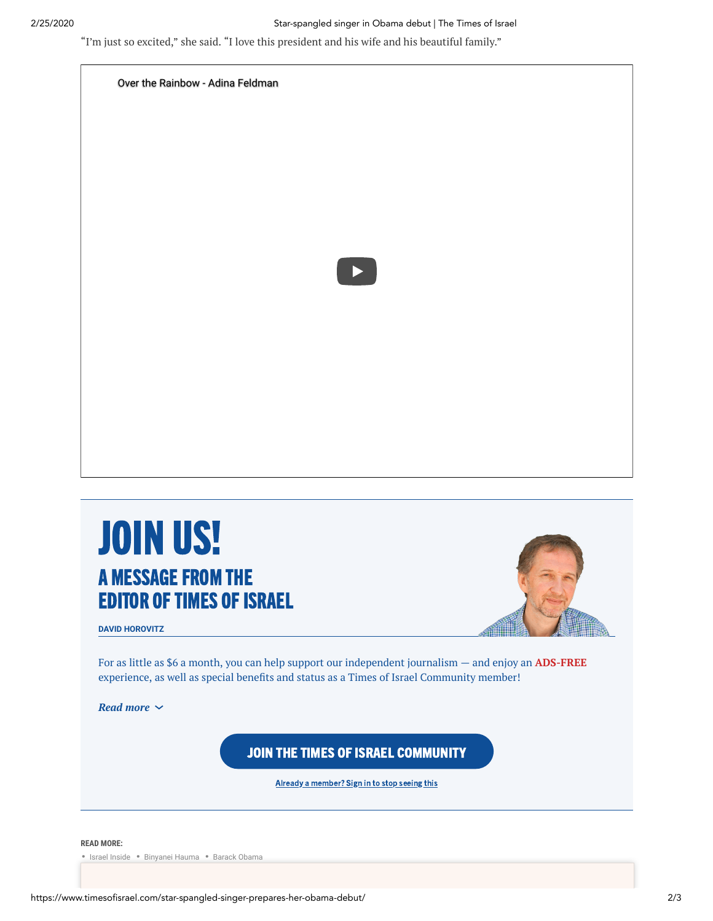#### 2/25/2020 Star-spangled singer in Obama debut | The Times of Israel

"I'm just so excited," she said. "I love this president and his wife and his beautiful family."



# JOIN US! A MESSAGE FROM THE **EDITOR OF TIMES OF ISRAEL**



**DAVID HOROVITZ**

For as little as \$6 a month, you can help support our independent journalism — and enjoy an **ADS-FREE** experience, as well as special benefits and status as a Times of Israel Community member!

*Read more*

JOIN THE TIMES OF ISRAEL [COMMUNITY](https://crm.timesofisrael.com/sign-up?utm_campaign=community_announcement&utm_source=website&utm_medium=article_end)

Already a [member?](https://crm.timesofisrael.com/sign-in) Sign in to stop seeing this

#### **READ MORE:**

• [Israel Inside](https://www.timesofisrael.com/israel-inside/) • [Binyanei Hauma](https://www.timesofisrael.com/topic/binyanei-hauma/) • [Barack Obama](https://www.timesofisrael.com/topic/barack-obama/)